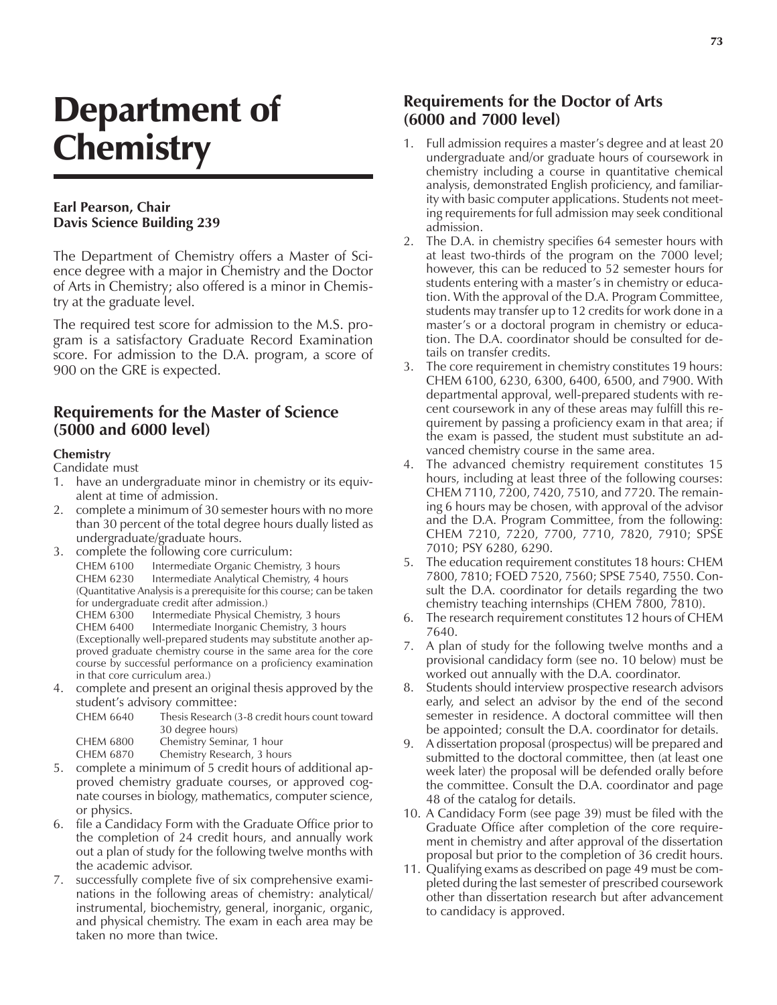# Department of **Chemistry**

#### **Earl Pearson, Chair Davis Science Building 239**

The Department of Chemistry offers a Master of Science degree with a major in Chemistry and the Doctor of Arts in Chemistry; also offered is a minor in Chemistry at the graduate level.

The required test score for admission to the M.S. program is a satisfactory Graduate Record Examination score. For admission to the D.A. program, a score of 900 on the GRE is expected.

# **Requirements for the Master of Science (5000 and 6000 level)**

#### **Chemistry**

Candidate must

- 1. have an undergraduate minor in chemistry or its equivalent at time of admission.
- 2. complete a minimum of 30 semester hours with no more than 30 percent of the total degree hours dually listed as undergraduate/graduate hours.
- 3. complete the following core curriculum: CHEM 6100 Intermediate Organic Chemistry, 3 hours CHEM 6230 Intermediate Analytical Chemistry, 4 hours (Quantitative Analysis is a prerequisite for this course; can be taken for undergraduate credit after admission.) CHEM 6300 Intermediate Physical Chemistry, 3 hours

CHEM 6400 Intermediate Inorganic Chemistry, 3 hours (Exceptionally well-prepared students may substitute another approved graduate chemistry course in the same area for the core course by successful performance on a proficiency examination in that core curriculum area.)

4. complete and present an original thesis approved by the student's advisory committee:

| CHEM 6640 | Thesis Research (3-8 credit hours count toward |
|-----------|------------------------------------------------|
|           | 30 degree hours)                               |
| CHEM 6800 | Chemistry Seminar, 1 hour                      |
| CHEM 6870 | Chemistry Research, 3 hours                    |

- 5. complete a minimum of 5 credit hours of additional approved chemistry graduate courses, or approved cognate courses in biology, mathematics, computer science, or physics.
- 6. file a Candidacy Form with the Graduate Office prior to the completion of 24 credit hours, and annually work out a plan of study for the following twelve months with the academic advisor.
- 7. successfully complete five of six comprehensive examinations in the following areas of chemistry: analytical/ instrumental, biochemistry, general, inorganic, organic, and physical chemistry. The exam in each area may be taken no more than twice.

# **Requirements for the Doctor of Arts (6000 and 7000 level)**

- 1. Full admission requires a master's degree and at least 20 undergraduate and/or graduate hours of coursework in chemistry including a course in quantitative chemical analysis, demonstrated English proficiency, and familiarity with basic computer applications. Students not meeting requirements for full admission may seek conditional admission.
- 2. The D.A. in chemistry specifies 64 semester hours with at least two-thirds of the program on the 7000 level; however, this can be reduced to 52 semester hours for students entering with a master's in chemistry or education. With the approval of the D.A. Program Committee, students may transfer up to 12 credits for work done in a master's or a doctoral program in chemistry or education. The D.A. coordinator should be consulted for details on transfer credits.
- 3. The core requirement in chemistry constitutes 19 hours: CHEM 6100, 6230, 6300, 6400, 6500, and 7900. With departmental approval, well-prepared students with recent coursework in any of these areas may fulfill this requirement by passing a proficiency exam in that area; if the exam is passed, the student must substitute an advanced chemistry course in the same area.
- 4. The advanced chemistry requirement constitutes 15 hours, including at least three of the following courses: CHEM 7110, 7200, 7420, 7510, and 7720. The remaining 6 hours may be chosen, with approval of the advisor and the D.A. Program Committee, from the following: CHEM 7210, 7220, 7700, 7710, 7820, 7910; SPSE 7010; PSY 6280, 6290.
- 5. The education requirement constitutes 18 hours: CHEM 7800, 7810; FOED 7520, 7560; SPSE 7540, 7550. Consult the D.A. coordinator for details regarding the two chemistry teaching internships (CHEM 7800, 7810).
- 6. The research requirement constitutes 12 hours of CHEM 7640.
- 7. A plan of study for the following twelve months and a provisional candidacy form (see no. 10 below) must be worked out annually with the D.A. coordinator.
- 8. Students should interview prospective research advisors early, and select an advisor by the end of the second semester in residence. A doctoral committee will then be appointed; consult the D.A. coordinator for details.
- 9. A dissertation proposal (prospectus) will be prepared and submitted to the doctoral committee, then (at least one week later) the proposal will be defended orally before the committee. Consult the D.A. coordinator and page 48 of the catalog for details.
- 10. A Candidacy Form (see page 39) must be filed with the Graduate Office after completion of the core requirement in chemistry and after approval of the dissertation proposal but prior to the completion of 36 credit hours.
- 11. Qualifying exams as described on page 49 must be completed during the last semester of prescribed coursework other than dissertation research but after advancement to candidacy is approved.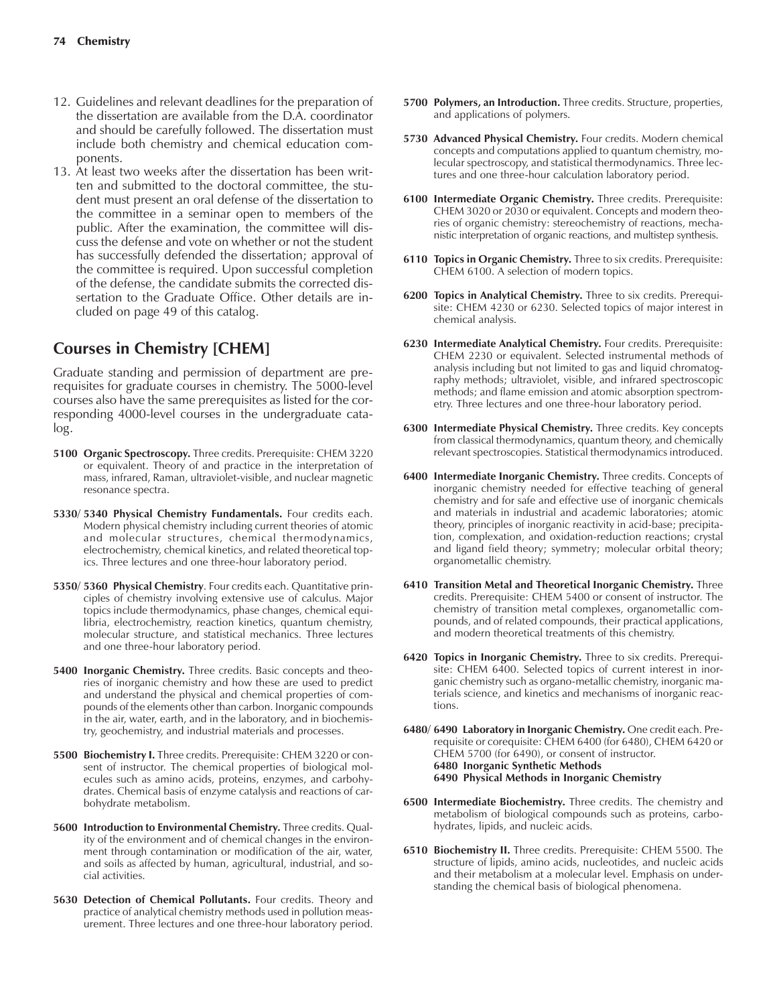- 12. Guidelines and relevant deadlines for the preparation of the dissertation are available from the D.A. coordinator and should be carefully followed. The dissertation must include both chemistry and chemical education components.
- 13. At least two weeks after the dissertation has been written and submitted to the doctoral committee, the student must present an oral defense of the dissertation to the committee in a seminar open to members of the public. After the examination, the committee will discuss the defense and vote on whether or not the student has successfully defended the dissertation; approval of the committee is required. Upon successful completion of the defense, the candidate submits the corrected dissertation to the Graduate Office. Other details are included on page 49 of this catalog.

# **Courses in Chemistry [CHEM]**

Graduate standing and permission of department are prerequisites for graduate courses in chemistry. The 5000-level courses also have the same prerequisites as listed for the corresponding 4000-level courses in the undergraduate catalog.

- **5100 Organic Spectroscopy.** Three credits. Prerequisite: CHEM 3220 or equivalent. Theory of and practice in the interpretation of mass, infrared, Raman, ultraviolet-visible, and nuclear magnetic resonance spectra.
- **5330/ 5340 Physical Chemistry Fundamentals.** Four credits each. Modern physical chemistry including current theories of atomic and molecular structures, chemical thermodynamics, electrochemistry, chemical kinetics, and related theoretical topics. Three lectures and one three-hour laboratory period.
- **5350/ 5360 Physical Chemistry**. Four credits each. Quantitative principles of chemistry involving extensive use of calculus. Major topics include thermodynamics, phase changes, chemical equilibria, electrochemistry, reaction kinetics, quantum chemistry, molecular structure, and statistical mechanics. Three lectures and one three-hour laboratory period.
- **5400 Inorganic Chemistry.** Three credits. Basic concepts and theories of inorganic chemistry and how these are used to predict and understand the physical and chemical properties of compounds of the elements other than carbon. Inorganic compounds in the air, water, earth, and in the laboratory, and in biochemistry, geochemistry, and industrial materials and processes.
- **5500 Biochemistry I.** Three credits. Prerequisite: CHEM 3220 or consent of instructor. The chemical properties of biological molecules such as amino acids, proteins, enzymes, and carbohydrates. Chemical basis of enzyme catalysis and reactions of carbohydrate metabolism.
- **5600 Introduction to Environmental Chemistry.** Three credits. Quality of the environment and of chemical changes in the environment through contamination or modification of the air, water, and soils as affected by human, agricultural, industrial, and social activities.
- **5630 Detection of Chemical Pollutants.** Four credits. Theory and practice of analytical chemistry methods used in pollution measurement. Three lectures and one three-hour laboratory period.
- **5700 Polymers, an Introduction.** Three credits. Structure, properties, and applications of polymers.
- **5730 Advanced Physical Chemistry.** Four credits. Modern chemical concepts and computations applied to quantum chemistry, molecular spectroscopy, and statistical thermodynamics. Three lectures and one three-hour calculation laboratory period.
- **6100 Intermediate Organic Chemistry.** Three credits. Prerequisite: CHEM 3020 or 2030 or equivalent. Concepts and modern theories of organic chemistry: stereochemistry of reactions, mechanistic interpretation of organic reactions, and multistep synthesis.
- **6110 Topics in Organic Chemistry.** Three to six credits. Prerequisite: CHEM 6100. A selection of modern topics.
- **6200 Topics in Analytical Chemistry.** Three to six credits. Prerequisite: CHEM 4230 or 6230. Selected topics of major interest in chemical analysis.
- **6230 Intermediate Analytical Chemistry.** Four credits. Prerequisite: CHEM 2230 or equivalent. Selected instrumental methods of analysis including but not limited to gas and liquid chromatography methods; ultraviolet, visible, and infrared spectroscopic methods; and flame emission and atomic absorption spectrometry. Three lectures and one three-hour laboratory period.
- **6300 Intermediate Physical Chemistry.** Three credits. Key concepts from classical thermodynamics, quantum theory, and chemically relevant spectroscopies. Statistical thermodynamics introduced.
- **6400 Intermediate Inorganic Chemistry.** Three credits. Concepts of inorganic chemistry needed for effective teaching of general chemistry and for safe and effective use of inorganic chemicals and materials in industrial and academic laboratories; atomic theory, principles of inorganic reactivity in acid-base; precipitation, complexation, and oxidation-reduction reactions; crystal and ligand field theory; symmetry; molecular orbital theory; organometallic chemistry.
- **6410 Transition Metal and Theoretical Inorganic Chemistry.** Three credits. Prerequisite: CHEM 5400 or consent of instructor. The chemistry of transition metal complexes, organometallic compounds, and of related compounds, their practical applications, and modern theoretical treatments of this chemistry.
- **6420 Topics in Inorganic Chemistry.** Three to six credits. Prerequisite: CHEM 6400. Selected topics of current interest in inorganic chemistry such as organo-metallic chemistry, inorganic materials science, and kinetics and mechanisms of inorganic reactions.
- **6480/ 6490 Laboratory in Inorganic Chemistry.** One credit each. Prerequisite or corequisite: CHEM 6400 (for 6480), CHEM 6420 or CHEM 5700 (for 6490), or consent of instructor. **6480 Inorganic Synthetic Methods 6490 Physical Methods in Inorganic Chemistry**
- **6500 Intermediate Biochemistry.** Three credits. The chemistry and metabolism of biological compounds such as proteins, carbohydrates, lipids, and nucleic acids.
- **6510 Biochemistry II.** Three credits. Prerequisite: CHEM 5500. The structure of lipids, amino acids, nucleotides, and nucleic acids and their metabolism at a molecular level. Emphasis on understanding the chemical basis of biological phenomena.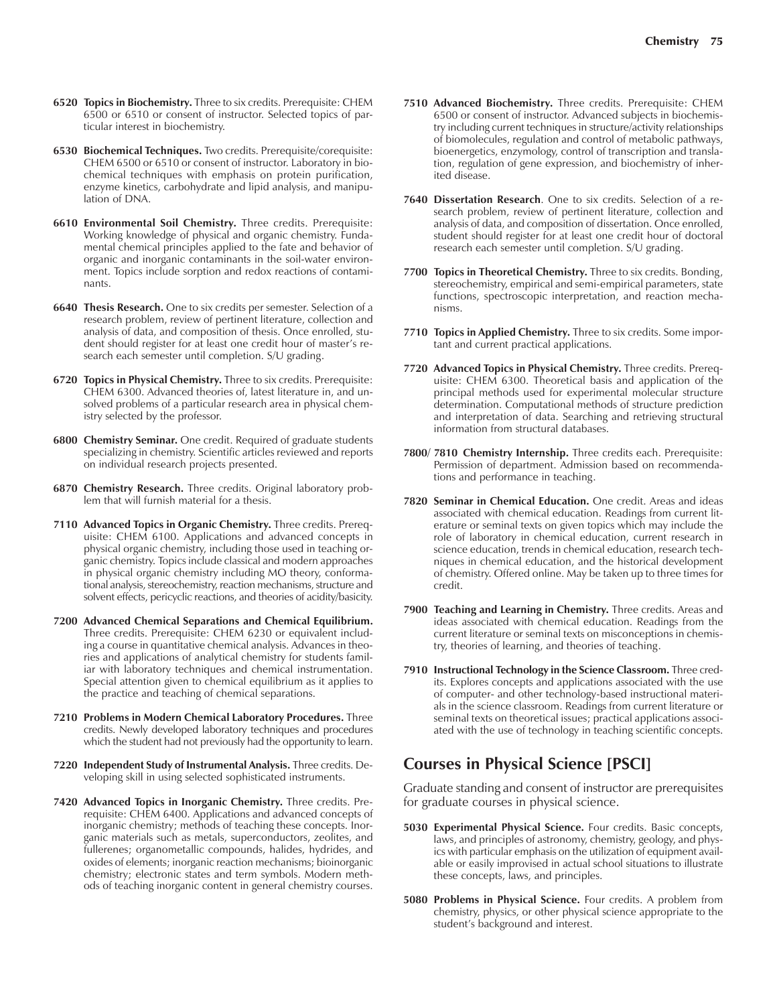- **6520 Topics in Biochemistry.** Three to six credits. Prerequisite: CHEM 6500 or 6510 or consent of instructor. Selected topics of particular interest in biochemistry.
- **6530 Biochemical Techniques.** Two credits. Prerequisite/corequisite: CHEM 6500 or 6510 or consent of instructor. Laboratory in biochemical techniques with emphasis on protein purification, enzyme kinetics, carbohydrate and lipid analysis, and manipulation of DNA.
- **6610 Environmental Soil Chemistry.** Three credits. Prerequisite: Working knowledge of physical and organic chemistry. Fundamental chemical principles applied to the fate and behavior of organic and inorganic contaminants in the soil-water environment. Topics include sorption and redox reactions of contaminants.
- **6640 Thesis Research.** One to six credits per semester. Selection of a research problem, review of pertinent literature, collection and analysis of data, and composition of thesis. Once enrolled, student should register for at least one credit hour of master's research each semester until completion. S/U grading.
- **6720 Topics in Physical Chemistry.** Three to six credits. Prerequisite: CHEM 6300. Advanced theories of, latest literature in, and unsolved problems of a particular research area in physical chemistry selected by the professor.
- **6800 Chemistry Seminar.** One credit. Required of graduate students specializing in chemistry. Scientific articles reviewed and reports on individual research projects presented.
- **6870 Chemistry Research.** Three credits. Original laboratory problem that will furnish material for a thesis.
- **7110 Advanced Topics in Organic Chemistry.** Three credits. Prerequisite: CHEM 6100. Applications and advanced concepts in physical organic chemistry, including those used in teaching organic chemistry. Topics include classical and modern approaches in physical organic chemistry including MO theory, conformational analysis, stereochemistry, reaction mechanisms, structure and solvent effects, pericyclic reactions, and theories of acidity/basicity.
- **7200 Advanced Chemical Separations and Chemical Equilibrium.** Three credits. Prerequisite: CHEM 6230 or equivalent including a course in quantitative chemical analysis. Advances in theories and applications of analytical chemistry for students familiar with laboratory techniques and chemical instrumentation. Special attention given to chemical equilibrium as it applies to the practice and teaching of chemical separations.
- **7210 Problems in Modern Chemical Laboratory Procedures.** Three credits. Newly developed laboratory techniques and procedures which the student had not previously had the opportunity to learn.
- **7220 Independent Study of Instrumental Analysis.** Three credits. Developing skill in using selected sophisticated instruments.
- **7420 Advanced Topics in Inorganic Chemistry.** Three credits. Prerequisite: CHEM 6400. Applications and advanced concepts of inorganic chemistry; methods of teaching these concepts. Inorganic materials such as metals, superconductors, zeolites, and fullerenes; organometallic compounds, halides, hydrides, and oxides of elements; inorganic reaction mechanisms; bioinorganic chemistry; electronic states and term symbols. Modern methods of teaching inorganic content in general chemistry courses.
- **7510 Advanced Biochemistry.** Three credits. Prerequisite: CHEM 6500 or consent of instructor. Advanced subjects in biochemistry including current techniques in structure/activity relationships of biomolecules, regulation and control of metabolic pathways, bioenergetics, enzymology, control of transcription and translation, regulation of gene expression, and biochemistry of inherited disease.
- **7640 Dissertation Research**. One to six credits. Selection of a research problem, review of pertinent literature, collection and analysis of data, and composition of dissertation. Once enrolled, student should register for at least one credit hour of doctoral research each semester until completion. S/U grading.
- **7700 Topics in Theoretical Chemistry.** Three to six credits. Bonding, stereochemistry, empirical and semi-empirical parameters, state functions, spectroscopic interpretation, and reaction mechanisms.
- **7710 Topics in Applied Chemistry.** Three to six credits. Some important and current practical applications.
- **7720 Advanced Topics in Physical Chemistry.** Three credits. Prerequisite: CHEM 6300. Theoretical basis and application of the principal methods used for experimental molecular structure determination. Computational methods of structure prediction and interpretation of data. Searching and retrieving structural information from structural databases.
- **7800/ 7810 Chemistry Internship.** Three credits each. Prerequisite: Permission of department. Admission based on recommendations and performance in teaching.
- **7820 Seminar in Chemical Education.** One credit. Areas and ideas associated with chemical education. Readings from current literature or seminal texts on given topics which may include the role of laboratory in chemical education, current research in science education, trends in chemical education, research techniques in chemical education, and the historical development of chemistry. Offered online. May be taken up to three times for credit.
- **7900 Teaching and Learning in Chemistry.** Three credits. Areas and ideas associated with chemical education. Readings from the current literature or seminal texts on misconceptions in chemistry, theories of learning, and theories of teaching.
- **7910 Instructional Technology in the Science Classroom.** Three credits. Explores concepts and applications associated with the use of computer- and other technology-based instructional materials in the science classroom. Readings from current literature or seminal texts on theoretical issues; practical applications associated with the use of technology in teaching scientific concepts.

### **Courses in Physical Science [PSCI]**

Graduate standing and consent of instructor are prerequisites for graduate courses in physical science.

- **5030 Experimental Physical Science.** Four credits. Basic concepts, laws, and principles of astronomy, chemistry, geology, and physics with particular emphasis on the utilization of equipment available or easily improvised in actual school situations to illustrate these concepts, laws, and principles.
- **5080 Problems in Physical Science.** Four credits. A problem from chemistry, physics, or other physical science appropriate to the student's background and interest.